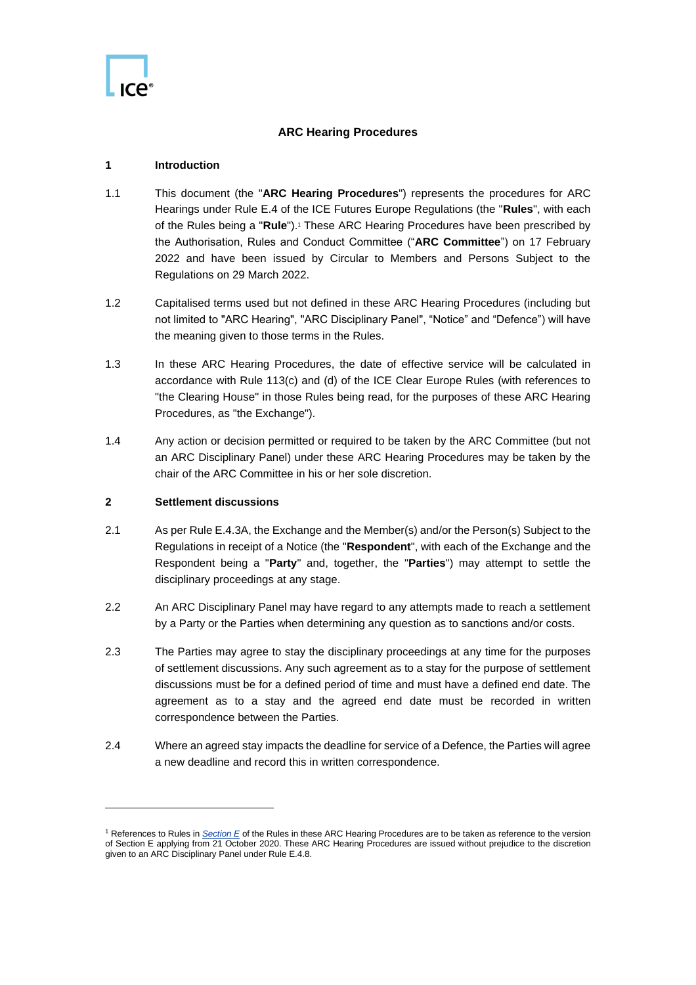# **ARC Hearing Procedures**

#### **1 Introduction**

- 1.1 This document (the "**ARC Hearing Procedures**") represents the procedures for ARC Hearings under Rule E.4 of the ICE Futures Europe Regulations (the "**Rules**", with each of the Rules being a "**Rule**").<sup>1</sup> These ARC Hearing Procedures have been prescribed by the Authorisation, Rules and Conduct Committee ("**ARC Committee**") on 17 February 2022 and have been issued by Circular to Members and Persons Subject to the Regulations on 29 March 2022.
- 1.2 Capitalised terms used but not defined in these ARC Hearing Procedures (including but not limited to "ARC Hearing", "ARC Disciplinary Panel", "Notice" and "Defence") will have the meaning given to those terms in the Rules.
- 1.3 In these ARC Hearing Procedures, the date of effective service will be calculated in accordance with Rule 113(c) and (d) of the ICE Clear Europe Rules (with references to "the Clearing House" in those Rules being read, for the purposes of these ARC Hearing Procedures, as "the Exchange").
- 1.4 Any action or decision permitted or required to be taken by the ARC Committee (but not an ARC Disciplinary Panel) under these ARC Hearing Procedures may be taken by the chair of the ARC Committee in his or her sole discretion.

# **2 Settlement discussions**

- 2.1 As per Rule E.4.3A, the Exchange and the Member(s) and/or the Person(s) Subject to the Regulations in receipt of a Notice (the "**Respondent**", with each of the Exchange and the Respondent being a "**Party**" and, together, the "**Parties**") may attempt to settle the disciplinary proceedings at any stage.
- 2.2 An ARC Disciplinary Panel may have regard to any attempts made to reach a settlement by a Party or the Parties when determining any question as to sanctions and/or costs.
- 2.3 The Parties may agree to stay the disciplinary proceedings at any time for the purposes of settlement discussions. Any such agreement as to a stay for the purpose of settlement discussions must be for a defined period of time and must have a defined end date. The agreement as to a stay and the agreed end date must be recorded in written correspondence between the Parties.
- 2.4 Where an agreed stay impacts the deadline for service of a Defence, the Parties will agree a new deadline and record this in written correspondence.

<sup>1</sup> References to Rules in *[Section E](https://www.theice.com/publicdocs/contractregs/09_SECTION_E.pdf)* of the Rules in these ARC Hearing Procedures are to be taken as reference to the version of Section E applying from 21 October 2020. These ARC Hearing Procedures are issued without prejudice to the discretion given to an ARC Disciplinary Panel under Rule E.4.8.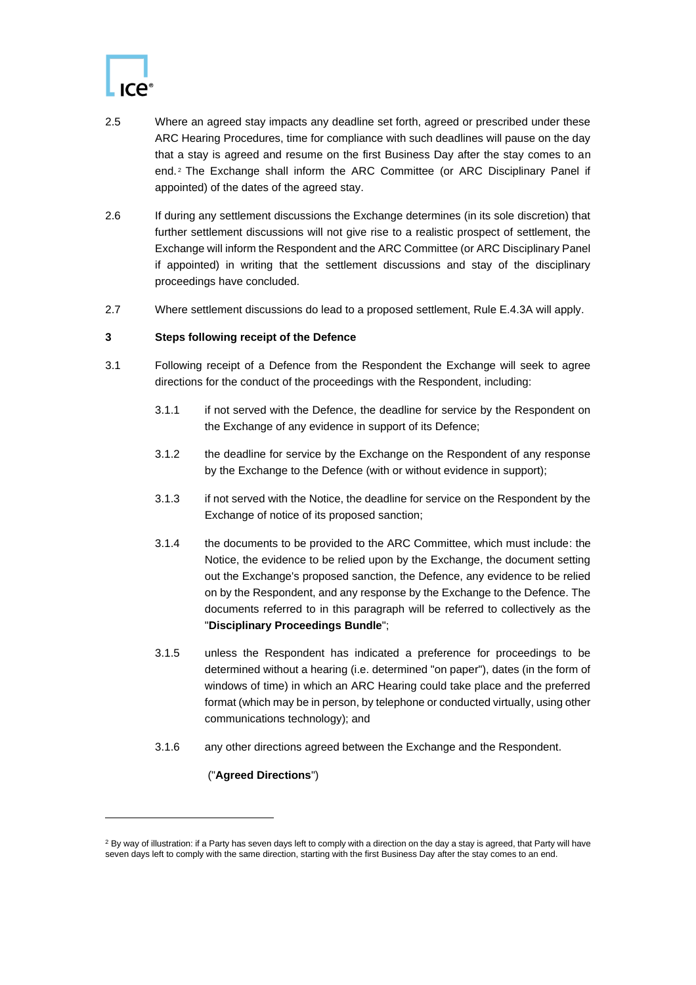

- 2.5 Where an agreed stay impacts any deadline set forth, agreed or prescribed under these ARC Hearing Procedures, time for compliance with such deadlines will pause on the day that a stay is agreed and resume on the first Business Day after the stay comes to an end.<sup>2</sup> The Exchange shall inform the ARC Committee (or ARC Disciplinary Panel if appointed) of the dates of the agreed stay.
- 2.6 If during any settlement discussions the Exchange determines (in its sole discretion) that further settlement discussions will not give rise to a realistic prospect of settlement, the Exchange will inform the Respondent and the ARC Committee (or ARC Disciplinary Panel if appointed) in writing that the settlement discussions and stay of the disciplinary proceedings have concluded.
- 2.7 Where settlement discussions do lead to a proposed settlement, Rule E.4.3A will apply.

## **3 Steps following receipt of the Defence**

- 3.1 Following receipt of a Defence from the Respondent the Exchange will seek to agree directions for the conduct of the proceedings with the Respondent, including:
	- 3.1.1 if not served with the Defence, the deadline for service by the Respondent on the Exchange of any evidence in support of its Defence;
	- 3.1.2 the deadline for service by the Exchange on the Respondent of any response by the Exchange to the Defence (with or without evidence in support);
	- 3.1.3 if not served with the Notice, the deadline for service on the Respondent by the Exchange of notice of its proposed sanction;
	- 3.1.4 the documents to be provided to the ARC Committee, which must include: the Notice, the evidence to be relied upon by the Exchange, the document setting out the Exchange's proposed sanction, the Defence, any evidence to be relied on by the Respondent, and any response by the Exchange to the Defence. The documents referred to in this paragraph will be referred to collectively as the "**Disciplinary Proceedings Bundle**";
	- 3.1.5 unless the Respondent has indicated a preference for proceedings to be determined without a hearing (i.e. determined "on paper"), dates (in the form of windows of time) in which an ARC Hearing could take place and the preferred format (which may be in person, by telephone or conducted virtually, using other communications technology); and
	- 3.1.6 any other directions agreed between the Exchange and the Respondent.

# ("**Agreed Directions**")

<sup>&</sup>lt;sup>2</sup> By way of illustration: if a Party has seven days left to comply with a direction on the day a stay is agreed, that Party will have seven days left to comply with the same direction, starting with the first Business Day after the stay comes to an end.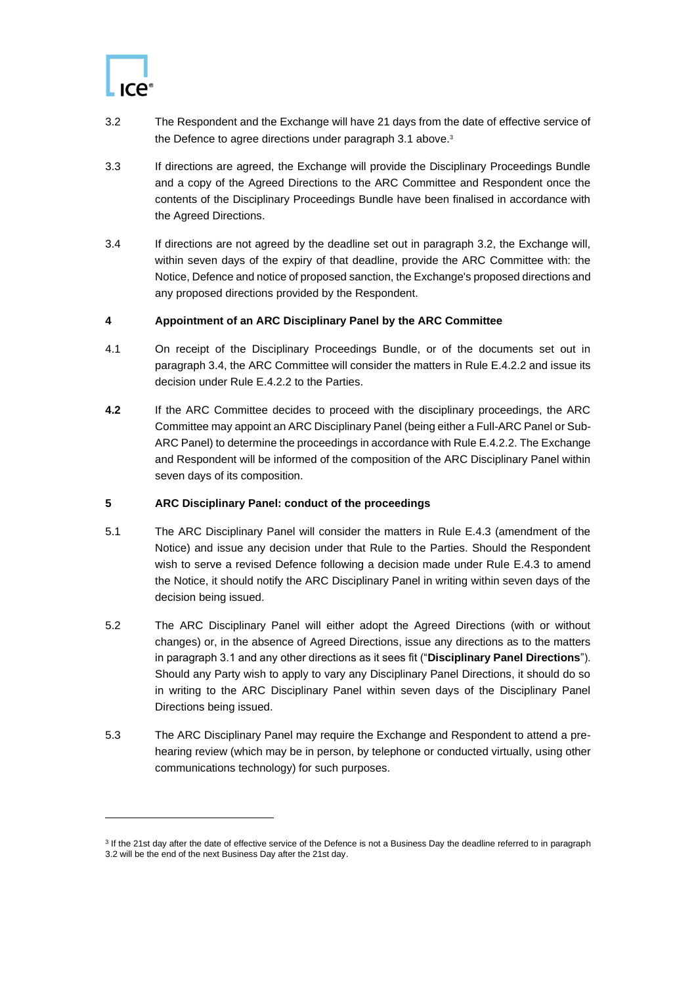

- 3.2 The Respondent and the Exchange will have 21 days from the date of effective service of the Defence to agree directions under paragraph 3.1 above.<sup>3</sup>
- 3.3 If directions are agreed, the Exchange will provide the Disciplinary Proceedings Bundle and a copy of the Agreed Directions to the ARC Committee and Respondent once the contents of the Disciplinary Proceedings Bundle have been finalised in accordance with the Agreed Directions.
- 3.4 If directions are not agreed by the deadline set out in paragraph 3.2, the Exchange will, within seven days of the expiry of that deadline, provide the ARC Committee with: the Notice, Defence and notice of proposed sanction, the Exchange's proposed directions and any proposed directions provided by the Respondent.

## **4 Appointment of an ARC Disciplinary Panel by the ARC Committee**

- 4.1 On receipt of the Disciplinary Proceedings Bundle, or of the documents set out in paragraph 3.4, the ARC Committee will consider the matters in Rule E.4.2.2 and issue its decision under Rule E.4.2.2 to the Parties.
- **4.2** If the ARC Committee decides to proceed with the disciplinary proceedings, the ARC Committee may appoint an ARC Disciplinary Panel (being either a Full-ARC Panel or Sub-ARC Panel) to determine the proceedings in accordance with Rule E.4.2.2. The Exchange and Respondent will be informed of the composition of the ARC Disciplinary Panel within seven days of its composition.

#### **5 ARC Disciplinary Panel: conduct of the proceedings**

- 5.1 The ARC Disciplinary Panel will consider the matters in Rule E.4.3 (amendment of the Notice) and issue any decision under that Rule to the Parties. Should the Respondent wish to serve a revised Defence following a decision made under Rule E.4.3 to amend the Notice, it should notify the ARC Disciplinary Panel in writing within seven days of the decision being issued.
- 5.2 The ARC Disciplinary Panel will either adopt the Agreed Directions (with or without changes) or, in the absence of Agreed Directions, issue any directions as to the matters in paragraph 3.1 and any other directions as it sees fit ("**Disciplinary Panel Directions**"). Should any Party wish to apply to vary any Disciplinary Panel Directions, it should do so in writing to the ARC Disciplinary Panel within seven days of the Disciplinary Panel Directions being issued.
- 5.3 The ARC Disciplinary Panel may require the Exchange and Respondent to attend a prehearing review (which may be in person, by telephone or conducted virtually, using other communications technology) for such purposes.

<sup>&</sup>lt;sup>3</sup> If the 21st day after the date of effective service of the Defence is not a Business Day the deadline referred to in paragraph 3.2 will be the end of the next Business Day after the 21st day.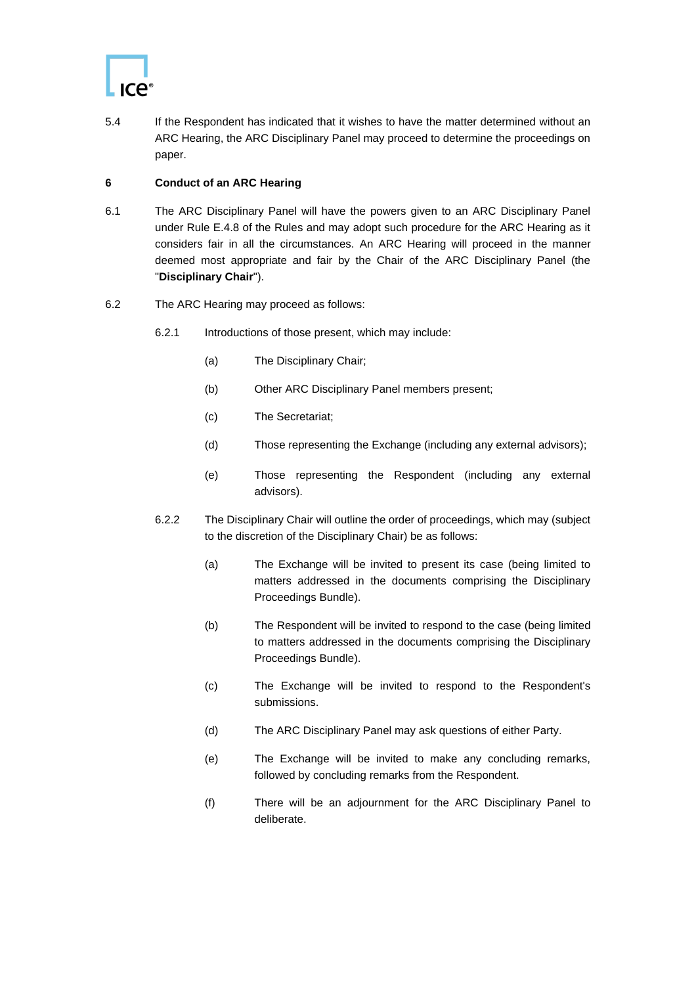

5.4 If the Respondent has indicated that it wishes to have the matter determined without an ARC Hearing, the ARC Disciplinary Panel may proceed to determine the proceedings on paper.

# **6 Conduct of an ARC Hearing**

- 6.1 The ARC Disciplinary Panel will have the powers given to an ARC Disciplinary Panel under Rule E.4.8 of the Rules and may adopt such procedure for the ARC Hearing as it considers fair in all the circumstances. An ARC Hearing will proceed in the manner deemed most appropriate and fair by the Chair of the ARC Disciplinary Panel (the "**Disciplinary Chair**").
- 6.2 The ARC Hearing may proceed as follows:
	- 6.2.1 Introductions of those present, which may include:
		- (a) The Disciplinary Chair;
		- (b) Other ARC Disciplinary Panel members present;
		- (c) The Secretariat;
		- (d) Those representing the Exchange (including any external advisors);
		- (e) Those representing the Respondent (including any external advisors).
	- 6.2.2 The Disciplinary Chair will outline the order of proceedings, which may (subject to the discretion of the Disciplinary Chair) be as follows:
		- (a) The Exchange will be invited to present its case (being limited to matters addressed in the documents comprising the Disciplinary Proceedings Bundle).
		- (b) The Respondent will be invited to respond to the case (being limited to matters addressed in the documents comprising the Disciplinary Proceedings Bundle).
		- (c) The Exchange will be invited to respond to the Respondent's submissions.
		- (d) The ARC Disciplinary Panel may ask questions of either Party.
		- (e) The Exchange will be invited to make any concluding remarks, followed by concluding remarks from the Respondent.
		- (f) There will be an adjournment for the ARC Disciplinary Panel to deliberate.